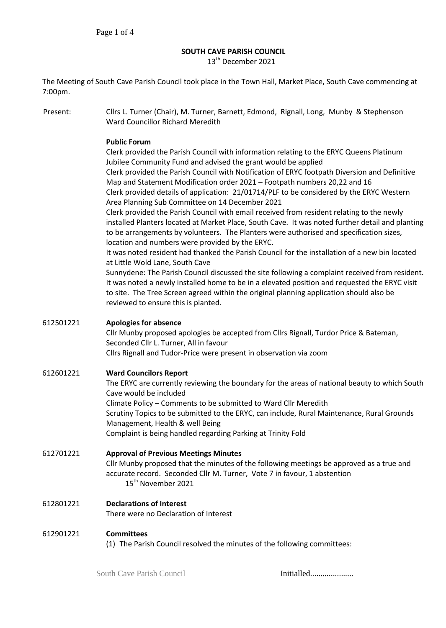# **SOUTH CAVE PARISH COUNCIL**

13<sup>th</sup> December 2021

The Meeting of South Cave Parish Council took place in the Town Hall, Market Place, South Cave commencing at 7:00pm.

Present: Cllrs L. Turner (Chair), M. Turner, Barnett, Edmond, Rignall, Long, Munby & Stephenson Ward Councillor Richard Meredith

### **Public Forum**

Clerk provided the Parish Council with information relating to the ERYC Queens Platinum Jubilee Community Fund and advised the grant would be applied Clerk provided the Parish Council with Notification of ERYC footpath Diversion and Definitive Map and Statement Modification order 2021 – Footpath numbers 20,22 and 16 Clerk provided details of application: 21/01714/PLF to be considered by the ERYC Western Area Planning Sub Committee on 14 December 2021 Clerk provided the Parish Council with email received from resident relating to the newly installed Planters located at Market Place, South Cave. It was noted further detail and planting to be arrangements by volunteers. The Planters were authorised and specification sizes, location and numbers were provided by the ERYC. It was noted resident had thanked the Parish Council for the installation of a new bin located at Little Wold Lane, South Cave Sunnydene: The Parish Council discussed the site following a complaint received from resident. It was noted a newly installed home to be in a elevated position and requested the ERYC visit to site. The Tree Screen agreed within the original planning application should also be reviewed to ensure this is planted.

### 612501221 **Apologies for absence**

Cllr Munby proposed apologies be accepted from Cllrs Rignall, Turdor Price & Bateman, Seconded Cllr L. Turner, All in favour Cllrs Rignall and Tudor-Price were present in observation via zoom

## 612601221 **Ward Councilors Report**

The ERYC are currently reviewing the boundary for the areas of national beauty to which South Cave would be included Climate Policy – Comments to be submitted to Ward Cllr Meredith Scrutiny Topics to be submitted to the ERYC, can include, Rural Maintenance, Rural Grounds Management, Health & well Being Complaint is being handled regarding Parking at Trinity Fold

612701221 **Approval of Previous Meetings Minutes**  Cllr Munby proposed that the minutes of the following meetings be approved as a true and accurate record. Seconded Cllr M. Turner, Vote 7 in favour, 1 abstention 15<sup>th</sup> November 2021

612801221 **Declarations of Interest** There were no Declaration of Interest

#### 612901221 **Committees**

(1) The Parish Council resolved the minutes of the following committees: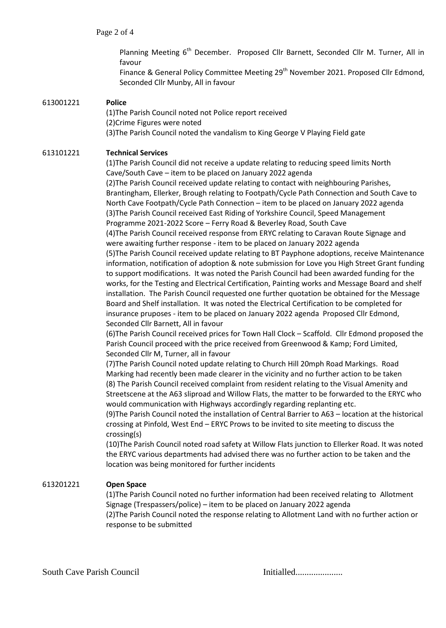Planning Meeting 6<sup>th</sup> December. Proposed Cllr Barnett, Seconded Cllr M. Turner, All in favour

Finance & General Policy Committee Meeting 29<sup>th</sup> November 2021. Proposed Cllr Edmond, Seconded Cllr Munby, All in favour

#### 613001221 **Police**

(1)The Parish Council noted not Police report received (2)Crime Figures were noted (3)The Parish Council noted the vandalism to King George V Playing Field gate

#### 613101221 **Technical Services**

(1)The Parish Council did not receive a update relating to reducing speed limits North Cave/South Cave – item to be placed on January 2022 agenda (2)The Parish Council received update relating to contact with neighbouring Parishes, Brantingham, Ellerker, Brough relating to Footpath/Cycle Path Connection and South Cave to North Cave Footpath/Cycle Path Connection – item to be placed on January 2022 agenda (3)The Parish Council received East Riding of Yorkshire Council, Speed Management Programme 2021-2022 Score – Ferry Road & Beverley Road, South Cave (4)The Parish Council received response from ERYC relating to Caravan Route Signage and were awaiting further response - item to be placed on January 2022 agenda (5)The Parish Council received update relating to BT Payphone adoptions, receive Maintenance information, notification of adoption & note submission for Love you High Street Grant funding to support modifications. It was noted the Parish Council had been awarded funding for the works, for the Testing and Electrical Certification, Painting works and Message Board and shelf installation. The Parish Council requested one further quotation be obtained for the Message Board and Shelf installation. It was noted the Electrical Certification to be completed for insurance pruposes - item to be placed on January 2022 agenda Proposed Cllr Edmond, Seconded Cllr Barnett, All in favour

(6)The Parish Council received prices for Town Hall Clock – Scaffold. Cllr Edmond proposed the Parish Council proceed with the price received from Greenwood & Kamp; Ford Limited, Seconded Cllr M, Turner, all in favour

(7)The Parish Council noted update relating to Church Hill 20mph Road Markings. Road Marking had recently been made clearer in the vicinity and no further action to be taken (8) The Parish Council received complaint from resident relating to the Visual Amenity and Streetscene at the A63 sliproad and Willow Flats, the matter to be forwarded to the ERYC who would communication with Highways accordingly regarding replanting etc.

(9)The Parish Council noted the installation of Central Barrier to A63 – location at the historical crossing at Pinfold, West End – ERYC Prows to be invited to site meeting to discuss the crossing(s)

(10)The Parish Council noted road safety at Willow Flats junction to Ellerker Road. It was noted the ERYC various departments had advised there was no further action to be taken and the location was being monitored for further incidents

## 613201221 **Open Space**

(1)The Parish Council noted no further information had been received relating to Allotment Signage (Trespassers/police) – item to be placed on January 2022 agenda (2)The Parish Council noted the response relating to Allotment Land with no further action or response to be submitted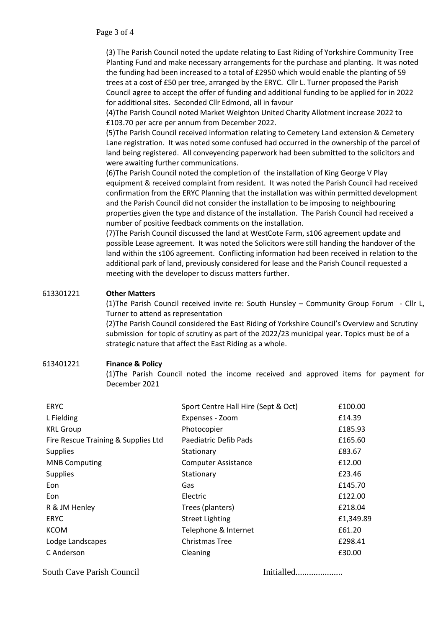(3) The Parish Council noted the update relating to East Riding of Yorkshire Community Tree Planting Fund and make necessary arrangements for the purchase and planting. It was noted the funding had been increased to a total of £2950 which would enable the planting of 59 trees at a cost of £50 per tree, arranged by the ERYC. Cllr L. Turner proposed the Parish Council agree to accept the offer of funding and additional funding to be applied for in 2022 for additional sites. Seconded Cllr Edmond, all in favour

(4)The Parish Council noted Market Weighton United Charity Allotment increase 2022 to £103.70 per acre per annum from December 2022.

(5)The Parish Council received information relating to Cemetery Land extension & Cemetery Lane registration. It was noted some confused had occurred in the ownership of the parcel of land being registered. All conveyencing paperwork had been submitted to the solicitors and were awaiting further communications.

(6)The Parish Council noted the completion of the installation of King George V Play equipment & received complaint from resident. It was noted the Parish Council had received confirmation from the ERYC Planning that the installation was within permitted development and the Parish Council did not consider the installation to be imposing to neighbouring properties given the type and distance of the installation. The Parish Council had received a number of positive feedback comments on the installation.

(7)The Parish Council discussed the land at WestCote Farm, s106 agreement update and possible Lease agreement. It was noted the Solicitors were still handing the handover of the land within the s106 agreement. Conflicting information had been received in relation to the additional park of land, previously considered for lease and the Parish Council requested a meeting with the developer to discuss matters further.

## 613301221 **Other Matters**

(1)The Parish Council received invite re: South Hunsley – Community Group Forum - Cllr L, Turner to attend as representation

(2)The Parish Council considered the East Riding of Yorkshire Council's Overview and Scrutiny submission for topic of scrutiny as part of the 2022/23 municipal year. Topics must be of a strategic nature that affect the East Riding as a whole.

## 613401221 **Finance & Policy**

(1)The Parish Council noted the income received and approved items for payment for December 2021

| <b>ERYC</b>                         | Sport Centre Hall Hire (Sept & Oct) | £100.00   |
|-------------------------------------|-------------------------------------|-----------|
| L Fielding                          | Expenses - Zoom                     | £14.39    |
| <b>KRL Group</b>                    | Photocopier                         | £185.93   |
| Fire Rescue Training & Supplies Ltd | Paediatric Defib Pads               | £165.60   |
| <b>Supplies</b>                     | Stationary                          | £83.67    |
| <b>MNB Computing</b>                | <b>Computer Assistance</b>          | £12.00    |
| <b>Supplies</b>                     | Stationary                          | £23.46    |
| Eon                                 | Gas                                 | £145.70   |
| Eon                                 | Electric                            | £122.00   |
| R & JM Henley                       | Trees (planters)                    | £218.04   |
| <b>ERYC</b>                         | <b>Street Lighting</b>              | £1,349.89 |
| <b>KCOM</b>                         | Telephone & Internet                | £61.20    |
| Lodge Landscapes                    | <b>Christmas Tree</b>               | £298.41   |
| C Anderson                          | Cleaning                            | £30.00    |

South Cave Parish Council Initialled.....................